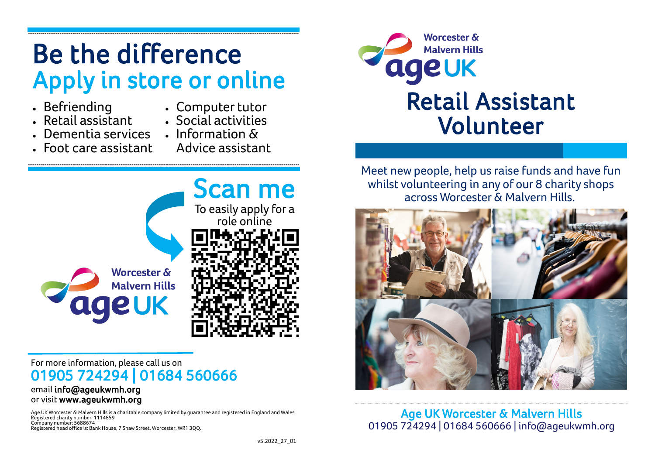# **Be the difference Apply in store or online**

- **Befriending**
- **Computer tutor**
- **Retail assistant**
- **Social activities**
- **Dementia services Information &**
- **Foot care assistant Advice assistant**
- 



#### **For more information, please call us on 01905 724294 | 01684 560666 email info@ageukwmh.org**

## **or visit www.ageukwmh.org**

**Age UK Worcester & Malvern Hills is a charitable company limited by guarantee and registered in England and Wales Registered charity number: 1114859 Company number: 5688674 Registered head office is: Bank House, 7 Shaw Street, Worcester, WR1 3QQ.**



**Meet new people, help us raise funds and have fun whilst volunteering in any of our 8 charity shops across Worcester & Malvern Hills.**



**Age UK Worcester & Malvern Hills 01905 724294 | 01684 560666 | info@ageukwmh.org**